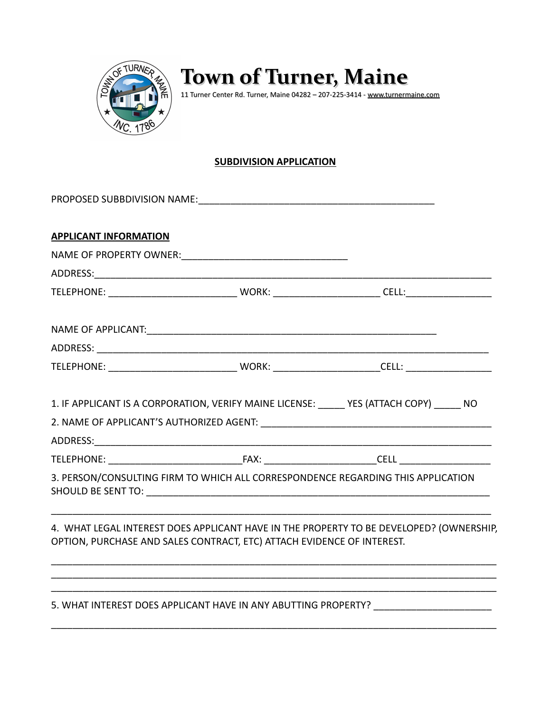

## **Town of Turner, Maine**  $\left\{\begin{matrix} \phi \ \zeta \end{matrix}\right\}$  10 **WN OF LUINEI, Maine 04282** – 207-225-3414 - [www.turnermaine.com](http://www.turnermaine.com/)

## **SUBDIVISION APPLICATION**

| <b>APPLICANT INFORMATION</b> |                                                                                                                       |                                                                                                      |  |  |  |
|------------------------------|-----------------------------------------------------------------------------------------------------------------------|------------------------------------------------------------------------------------------------------|--|--|--|
|                              |                                                                                                                       |                                                                                                      |  |  |  |
|                              |                                                                                                                       |                                                                                                      |  |  |  |
|                              |                                                                                                                       |                                                                                                      |  |  |  |
|                              |                                                                                                                       |                                                                                                      |  |  |  |
|                              |                                                                                                                       |                                                                                                      |  |  |  |
|                              |                                                                                                                       | TELEPHONE: __________________________________WORK: __________________________CELL: _________________ |  |  |  |
|                              | 1. IF APPLICANT IS A CORPORATION, VERIFY MAINE LICENSE: YES (ATTACH COPY) NO                                          |                                                                                                      |  |  |  |
|                              |                                                                                                                       |                                                                                                      |  |  |  |
|                              |                                                                                                                       |                                                                                                      |  |  |  |
|                              |                                                                                                                       |                                                                                                      |  |  |  |
|                              | 3. PERSON/CONSULTING FIRM TO WHICH ALL CORRESPONDENCE REGARDING THIS APPLICATION                                      |                                                                                                      |  |  |  |
|                              | OPTION, PURCHASE AND SALES CONTRACT, ETC) ATTACH EVIDENCE OF INTEREST.                                                | 4. WHAT LEGAL INTEREST DOES APPLICANT HAVE IN THE PROPERTY TO BE DEVELOPED? (OWNERSHIP,              |  |  |  |
|                              | <u> 1989 - Johann Barn, mars ann an t-Amhainn an t-Amhainn an t-Amhainn an t-Amhainn an t-Amhainn an t-Amhainn an</u> | 5. WHAT INTEREST DOES APPLICANT HAVE IN ANY ABUTTING PROPERTY? __________________                    |  |  |  |
|                              |                                                                                                                       |                                                                                                      |  |  |  |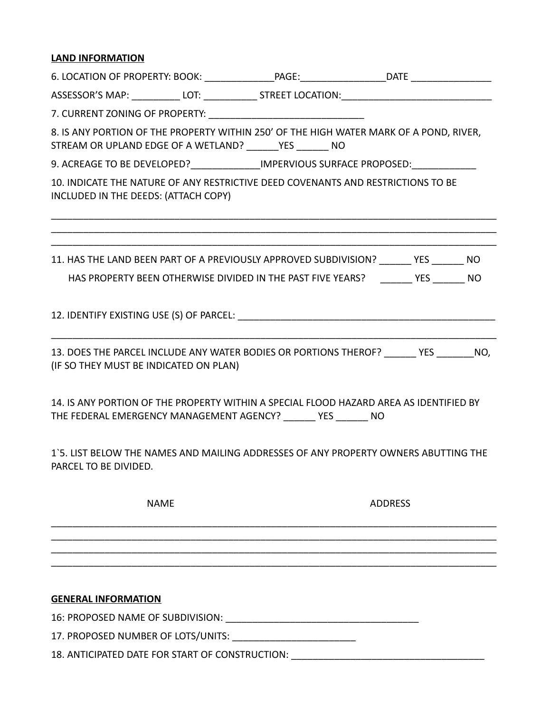## **LAND INFORMATION**

| ASSESSOR'S MAP: ____________ LOT: ______________ STREET LOCATION: _________________________________                                                       |  |                |  |  |  |  |
|-----------------------------------------------------------------------------------------------------------------------------------------------------------|--|----------------|--|--|--|--|
|                                                                                                                                                           |  |                |  |  |  |  |
| 8. IS ANY PORTION OF THE PROPERTY WITHIN 250' OF THE HIGH WATER MARK OF A POND, RIVER,<br>STREAM OR UPLAND EDGE OF A WETLAND? _______ YES _______ NO      |  |                |  |  |  |  |
| 9. ACREAGE TO BE DEVELOPED?_______________IMPERVIOUS SURFACE PROPOSED:__________                                                                          |  |                |  |  |  |  |
| 10. INDICATE THE NATURE OF ANY RESTRICTIVE DEED COVENANTS AND RESTRICTIONS TO BE<br>INCLUDED IN THE DEEDS: (ATTACH COPY)                                  |  |                |  |  |  |  |
| 11. HAS THE LAND BEEN PART OF A PREVIOUSLY APPROVED SUBDIVISION? YES NO                                                                                   |  |                |  |  |  |  |
| HAS PROPERTY BEEN OTHERWISE DIVIDED IN THE PAST FIVE YEARS? _______ YES ______ NO                                                                         |  |                |  |  |  |  |
|                                                                                                                                                           |  |                |  |  |  |  |
| 13. DOES THE PARCEL INCLUDE ANY WATER BODIES OR PORTIONS THEROF? ______ YES ______ NO,<br>(IF SO THEY MUST BE INDICATED ON PLAN)                          |  |                |  |  |  |  |
| 14. IS ANY PORTION OF THE PROPERTY WITHIN A SPECIAL FLOOD HAZARD AREA AS IDENTIFIED BY<br>THE FEDERAL EMERGENCY MANAGEMENT AGENCY? _______ YES _______ NO |  |                |  |  |  |  |
| 1'5. LIST BELOW THE NAMES AND MAILING ADDRESSES OF ANY PROPERTY OWNERS ABUTTING THE<br>PARCEL TO BE DIVIDED.                                              |  |                |  |  |  |  |
| <b>NAME</b>                                                                                                                                               |  | <b>ADDRESS</b> |  |  |  |  |
|                                                                                                                                                           |  |                |  |  |  |  |
|                                                                                                                                                           |  |                |  |  |  |  |
| <b>GENERAL INFORMATION</b>                                                                                                                                |  |                |  |  |  |  |
| 16: PROPOSED NAME OF SUBDIVISION:                                                                                                                         |  |                |  |  |  |  |
|                                                                                                                                                           |  |                |  |  |  |  |

18. ANTICIPATED DATE FOR START OF CONSTRUCTION: \_\_\_\_\_\_\_\_\_\_\_\_\_\_\_\_\_\_\_\_\_\_\_\_\_\_\_\_\_\_\_\_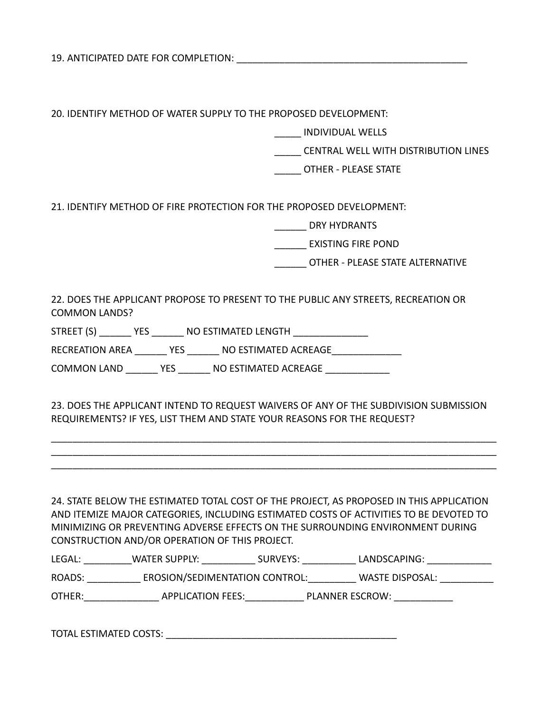19. ANTICIPATED DATE FOR COMPLETION:

20. IDENTIFY METHOD OF WATER SUPPLY TO THE PROPOSED DEVELOPMENT:

\_\_\_\_\_ INDIVIDUAL WELLS

\_\_\_\_\_ CENTRAL WELL WITH DISTRIBUTION LINES

\_\_\_\_\_ OTHER - PLEASE STATE

21. IDENTIFY METHOD OF FIRE PROTECTION FOR THE PROPOSED DEVELOPMENT:

\_\_\_\_\_\_ DRY HYDRANTS

\_\_\_\_\_\_ EXISTING FIRE POND

\_\_\_\_\_\_ OTHER - PLEASE STATE ALTERNATIVE

22. DOES THE APPLICANT PROPOSE TO PRESENT TO THE PUBLIC ANY STREETS, RECREATION OR COMMON LANDS?

STREET (S) THES TIMATED LENGTH ZERECT (S)

RECREATION AREA \_\_\_\_\_\_\_ YES \_\_\_\_\_\_ NO ESTIMATED ACREAGE

COMMON LAND \_\_\_\_\_\_\_ YES \_\_\_\_\_\_\_ NO ESTIMATED ACREAGE \_\_\_\_\_\_\_\_\_\_\_\_\_

23. DOES THE APPLICANT INTEND TO REQUEST WAIVERS OF ANY OF THE SUBDIVISION SUBMISSION REQUIREMENTS? IF YES, LIST THEM AND STATE YOUR REASONS FOR THE REQUEST?

\_\_\_\_\_\_\_\_\_\_\_\_\_\_\_\_\_\_\_\_\_\_\_\_\_\_\_\_\_\_\_\_\_\_\_\_\_\_\_\_\_\_\_\_\_\_\_\_\_\_\_\_\_\_\_\_\_\_\_\_\_\_\_\_\_\_\_\_\_\_\_\_\_\_\_\_\_\_\_\_\_\_\_ \_\_\_\_\_\_\_\_\_\_\_\_\_\_\_\_\_\_\_\_\_\_\_\_\_\_\_\_\_\_\_\_\_\_\_\_\_\_\_\_\_\_\_\_\_\_\_\_\_\_\_\_\_\_\_\_\_\_\_\_\_\_\_\_\_\_\_\_\_\_\_\_\_\_\_\_\_\_\_\_\_\_\_ \_\_\_\_\_\_\_\_\_\_\_\_\_\_\_\_\_\_\_\_\_\_\_\_\_\_\_\_\_\_\_\_\_\_\_\_\_\_\_\_\_\_\_\_\_\_\_\_\_\_\_\_\_\_\_\_\_\_\_\_\_\_\_\_\_\_\_\_\_\_\_\_\_\_\_\_\_\_\_\_\_\_\_

24. STATE BELOW THE ESTIMATED TOTAL COST OF THE PROJECT, AS PROPOSED IN THIS APPLICATION AND ITEMIZE MAJOR CATEGORIES, INCLUDING ESTIMATED COSTS OF ACTIVITIES TO BE DEVOTED TO MINIMIZING OR PREVENTING ADVERSE EFFECTS ON THE SURROUNDING ENVIRONMENT DURING CONSTRUCTION AND/OR OPERATION OF THIS PROJECT.

| --<br>______ | w, | אוי |  |
|--------------|----|-----|--|
|              |    |     |  |

ROADS: EROSION/SEDIMENTATION CONTROL: WASTE DISPOSAL:

OTHER:\_\_\_\_\_\_\_\_\_\_\_\_\_\_ APPLICATION FEES:\_\_\_\_\_\_\_\_\_\_\_ PLANNER ESCROW: \_\_\_\_\_\_\_\_\_\_\_

| <b>TOTAL ESTIMATED COSTS:</b> |  |
|-------------------------------|--|
|                               |  |